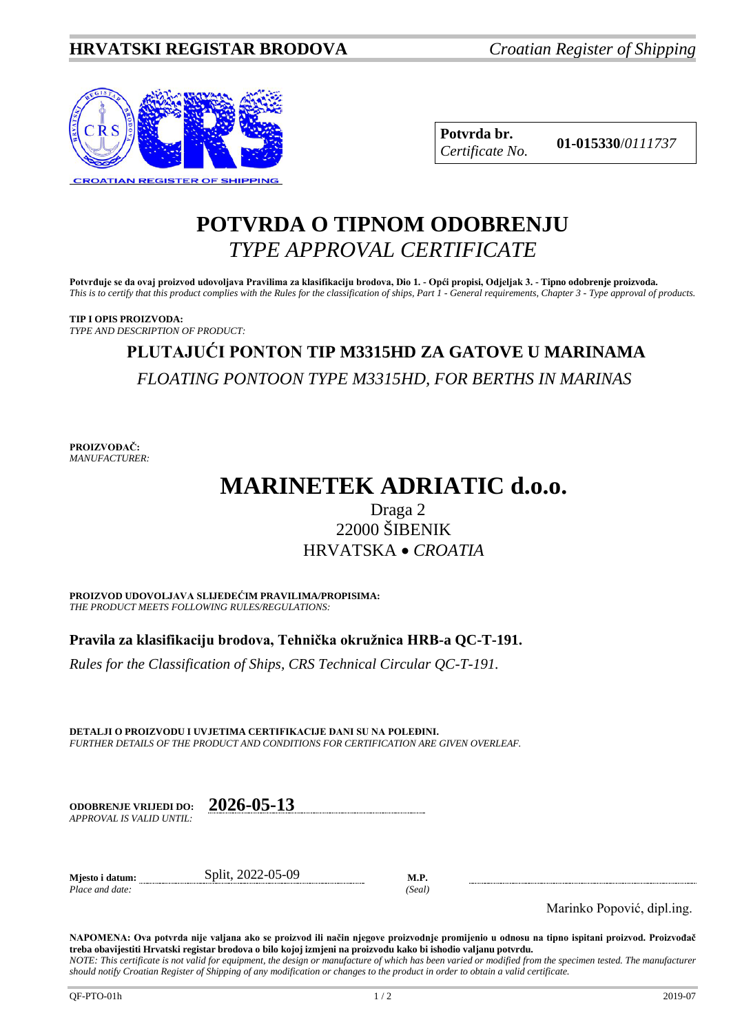

**Potvrda br. 01-015330**/*<sup>0111737</sup> Certificate No.*

### **POTVRDA O TIPNOM ODOBRENJU** *TYPE APPROVAL CERTIFICATE*

**Potvrđuje se da ovaj proizvod udovoljava Pravilima za klasifikaciju brodova, Dio 1. - Opći propisi, Odjeljak 3. - Tipno odobrenje proizvoda.** *This is to certify that this product complies with the Rules for the classification of ships, Part 1 - General requirements, Chapter 3 - Type approval of products.*

**TIP I OPIS PROIZVODA:** *TYPE AND DESCRIPTION OF PRODUCT:*

# **PLUTAJUĆI PONTON TIP M3315HD ZA GATOVE U MARINAMA** *FLOATING PONTOON TYPE M3315HD, FOR BERTHS IN MARINAS*

**PROIZVOĐAČ:** *MANUFACTURER:*

## **MARINETEK ADRIATIC d.o.o.**

### Draga 2 22000 ŠIBENIK HRVATSKA • *CROATIA*

**PROIZVOD UDOVOLJAVA SLIJEDEĆIM PRAVILIMA/PROPISIMA:** *THE PRODUCT MEETS FOLLOWING RULES/REGULATIONS:*

**Pravila za klasifikaciju brodova, Tehnička okružnica HRB-a QC-T-191.** 

*Rules for the Classification of Ships, CRS Technical Circular QC-T-191.*

**DETALJI O PROIZVODU I UVJETIMA CERTIFIKACIJE DANI SU NA POLEĐINI.** *FURTHER DETAILS OF THE PRODUCT AND CONDITIONS FOR CERTIFICATION ARE GIVEN OVERLEAF.*

| <b>ODOBRENJE VRLJEDI DO:</b> | 2026-05-13 |
|------------------------------|------------|
| APPROVAL IS VALID UNTIL:     |            |

**Mjesto i datum:** Split, 2022-05-09 **M.P.**

*Place and date: (Seal)*

Marinko Popović, dipl.ing.

**NAPOMENA: Ova potvrda nije valjana ako se proizvod ili način njegove proizvodnje promijenio u odnosu na tipno ispitani proizvod. Proizvođač treba obavijestiti Hrvatski registar brodova o bilo kojoj izmjeni na proizvodu kako bi ishodio valjanu potvrdu.**

*NOTE: This certificate is not valid for equipment, the design or manufacture of which has been varied or modified from the specimen tested. The manufacturer should notify Croatian Register of Shipping of any modification or changes to the product in order to obtain a valid certificate.*